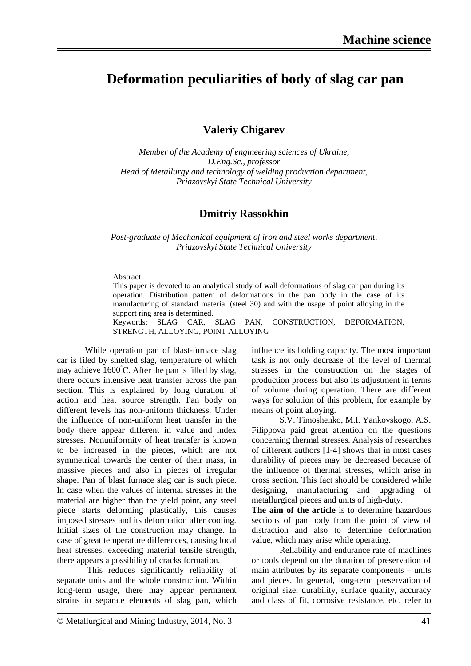# **Deformation peculiarities of body of slag car pan**

**Valeriy Chigarev** 

*Member of the Academy of engineering sciences of Ukraine, D.Eng.Sc., professor Head of Metallurgy and technology of welding production department, Priazovskyi State Technical University*

### **Dmitriy Rassokhin**

*Post-graduate of Mechanical equipment of iron and steel works department, Priazovskyi State Technical University*

#### Abstract

This paper is devoted to an analytical study of wall deformations of slag car pan during its operation. Distribution pattern of deformations in the pan body in the case of its manufacturing of standard material (steel 30) and with the usage of point alloying in the support ring area is determined.

Keywords: SLAG CAR, SLAG PAN, CONSTRUCTION, DEFORMATION, STRENGTH, ALLOYING, POINT ALLOYING

While operation pan of blast-furnace slag car is filed by smelted slag, temperature of which may achieve 1600° С. After the pan is filled by slag, there occurs intensive heat transfer across the pan section. This is explained by long duration of action and heat source strength. Pan body on different levels has non-uniform thickness. Under the influence of non-uniform heat transfer in the body there appear different in value and index stresses. Nonuniformity of heat transfer is known to be increased in the pieces, which are not symmetrical towards the center of their mass, in massive pieces and also in pieces of irregular shape. Pan of blast furnace slag car is such piece. In case when the values of internal stresses in the material are higher than the yield point, any steel piece starts deforming plastically, this causes imposed stresses and its deformation after cooling. Initial sizes of the construction may change. In case of great temperature differences, causing local heat stresses, exceeding material tensile strength, there appears a possibility of cracks formation.

This reduces significantly reliability of separate units and the whole construction. Within long-term usage, there may appear permanent strains in separate elements of slag pan, which influence its holding capacity. The most important task is not only decrease of the level of thermal stresses in the construction on the stages of production process but also its adjustment in terms of volume during operation. There are different ways for solution of this problem, for example by means of point alloying.

S.V. Timoshenko, M.I. Yankovskogo, A.S. Filippova paid great attention on the questions concerning thermal stresses. Analysis of researches of different authors [1-4] shows that in most cases durability of pieces may be decreased because of the influence of thermal stresses, which arise in cross section. This fact should be considered while designing, manufacturing and upgrading of metallurgical pieces and units of high-duty.

**The aim of the article** is to determine hazardous sections of pan body from the point of view of distraction and also to determine deformation value, which may arise while operating.

Reliability and endurance rate of machines or tools depend on the duration of preservation of main attributes by its separate components – units and pieces. In general, long-term preservation of original size, durability, surface quality, accuracy and class of fit, corrosive resistance, etc. refer to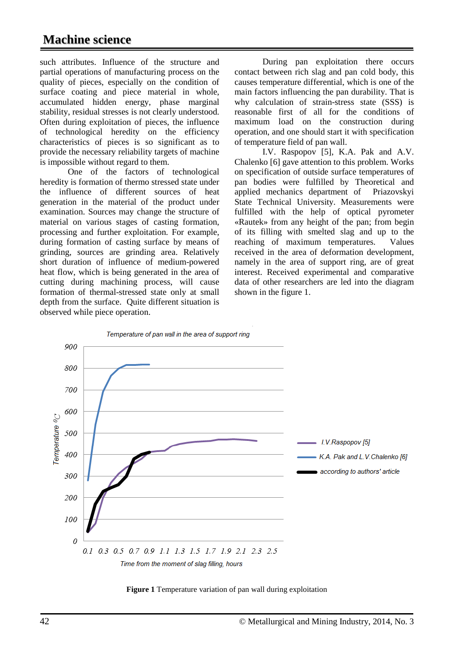## **Machine science**

such attributes. Influence of the structure and partial operations of manufacturing process on the quality of pieces, especially on the condition of surface coating and piece material in whole, accumulated hidden energy, phase marginal stability, residual stresses is not clearly understood. Often during exploitation of pieces, the influence of technological heredity on the efficiency characteristics of pieces is so significant as to provide the necessary reliability targets of machine is impossible without regard to them.

One of the factors of technological heredity is formation of thermo stressed state under the influence of different sources of heat generation in the material of the product under examination. Sources may change the structure of material on various stages of casting formation, processing and further exploitation. For example, during formation of casting surface by means of grinding, sources are grinding area. Relatively short duration of influence of medium-powered heat flow, which is being generated in the area of cutting during machining process, will cause formation of thermal-stressed state only at small depth from the surface. Quite different situation is observed while piece operation.

During pan exploitation there occurs contact between rich slag and pan cold body, this causes temperature differential, which is one of the main factors influencing the pan durability. That is why calculation of strain-stress state (SSS) is reasonable first of all for the conditions of maximum load on the construction during operation, and one should start it with specification of temperature field of pan wall.

I.V. Raspopov [5], K.A. Pak and A.V. Chalenko [6] gave attention to this problem. Works on specification of outside surface temperatures of pan bodies were fulfilled by Theoretical and applied mechanics department of Priazovskyi State Technical University. Measurements were fulfilled with the help of optical pyrometer «Rautek» from any height of the pan; from begin of its filling with smelted slag and up to the reaching of maximum temperatures. Values received in the area of deformation development, namely in the area of support ring, are of great interest. Received experimental and comparative data of other researchers are led into the diagram shown in the figure 1.



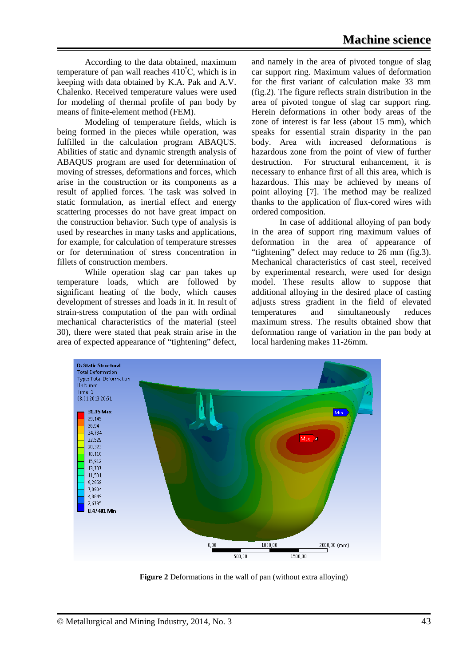According to the data obtained, maximum temperature of pan wall reaches  $410^{\circ}$ C, which is in keeping with data obtained by K.A. Pak and A.V. Chalenko. Received temperature values were used for modeling of thermal profile of pan body by means of finite-element method (FEM).

Modeling of temperature fields, which is being formed in the pieces while operation, was fulfilled in the calculation program ABAQUS. Abilities of static and dynamic strength analysis of ABAQUS program are used for determination of moving of stresses, deformations and forces, which arise in the construction or its components as a result of applied forces. The task was solved in static formulation, as inertial effect and energy scattering processes do not have great impact on the construction behavior. Such type of analysis is used by researches in many tasks and applications, for example, for calculation of temperature stresses or for determination of stress concentration in fillets of construction members.

While operation slag car pan takes up temperature loads, which are followed by significant heating of the body, which causes development of stresses and loads in it. In result of strain-stress computation of the pan with ordinal mechanical characteristics of the material (steel 30), there were stated that peak strain arise in the area of expected appearance of "tightening" defect, and namely in the area of pivoted tongue of slag car support ring. Maximum values of deformation for the first variant of calculation make 33 mm (fig.2). The figure reflects strain distribution in the area of pivoted tongue of slag car support ring. Herein deformations in other body areas of the zone of interest is far less (about 15 mm), which speaks for essential strain disparity in the pan body. Area with increased deformations is hazardous zone from the point of view of further destruction. For structural enhancement, it is necessary to enhance first of all this area, which is hazardous. This may be achieved by means of point alloying [7]. The method may be realized thanks to the application of flux-cored wires with ordered composition.

In case of additional alloying of pan body in the area of support ring maximum values of deformation in the area of appearance of "tightening" defect may reduce to 26 mm (fig.3). Mechanical characteristics of cast steel, received by experimental research, were used for design model. These results allow to suppose that additional alloying in the desired place of casting adjusts stress gradient in the field of elevated temperatures and simultaneously reduces maximum stress. The results obtained show that deformation range of variation in the pan body at local hardening makes 11-26mm.



**Figure 2** Deformations in the wall of pan (without extra alloying)